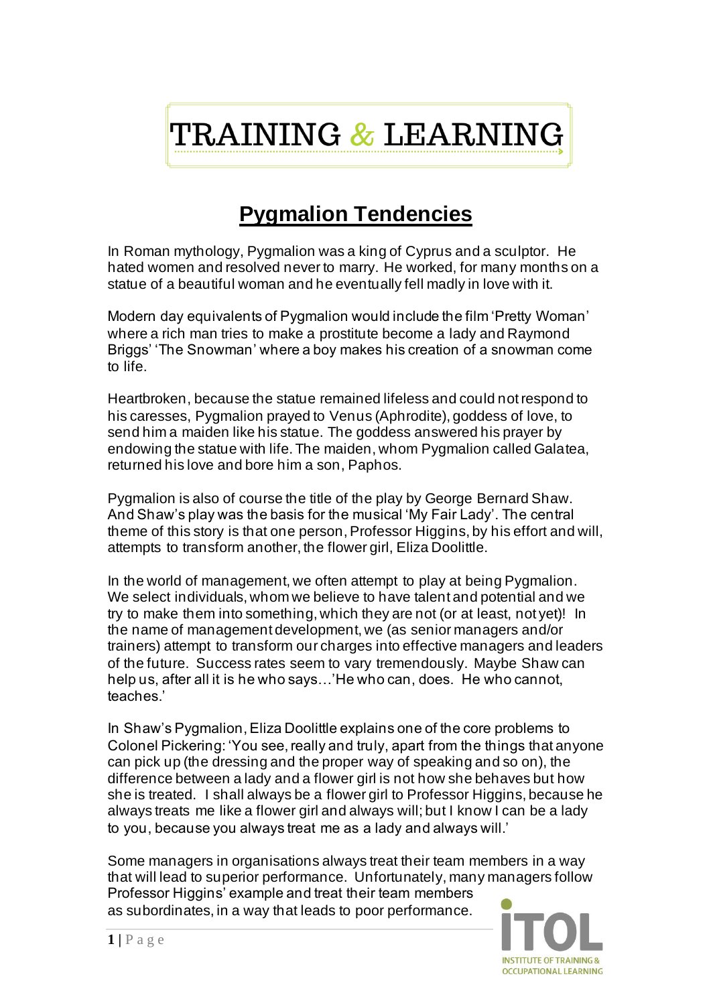## TRAINING & LEARNING

## **Pygmalion Tendencies**

In Roman mythology, Pygmalion was a king of Cyprus and a sculptor. He hated women and resolved never to marry. He worked, for many months on a statue of a beautiful woman and he eventually fell madly in love with it.

Modern day equivalents of Pygmalion would include the film 'Pretty Woman' where a rich man tries to make a prostitute become a lady and Raymond Briggs' 'The Snowman' where a boy makes his creation of a snowman come to life.

Heartbroken, because the statue remained lifeless and could not respond to his caresses, Pygmalion prayed to Venus (Aphrodite), goddess of love, to send him a maiden like his statue. The goddess answered his prayer by endowing the statue with life. The maiden, whom Pygmalion called Galatea, returned his love and bore him a son, Paphos.

Pygmalion is also of course the title of the play by George Bernard Shaw. And Shaw's play was the basis for the musical 'My Fair Lady'. The central theme of this story is that one person, Professor Higgins, by his effort and will, attempts to transform another, the flower girl, Eliza Doolittle.

In the world of management, we often attempt to play at being Pygmalion. We select individuals, whom we believe to have talent and potential and we try to make them into something, which they are not (or at least, not yet)! In the name of management development, we (as senior managers and/or trainers) attempt to transform our charges into effective managers and leaders of the future. Success rates seem to vary tremendously. Maybe Shaw can help us, after all it is he who says…'He who can, does. He who cannot, teaches.'

In Shaw's Pygmalion, Eliza Doolittle explains one of the core problems to Colonel Pickering: 'You see, really and truly, apart from the things that anyone can pick up (the dressing and the proper way of speaking and so on), the difference between a lady and a flower girl is not how she behaves but how she is treated. I shall always be a flower girl to Professor Higgins, because he always treats me like a flower girl and always will; but I know I can be a lady to you, because you always treat me as a lady and always will.'

Some managers in organisations always treat their team members in a way that will lead to superior performance. Unfortunately, many managers follow Professor Higgins' example and treat their team members as subordinates, in a way that leads to poor performance.